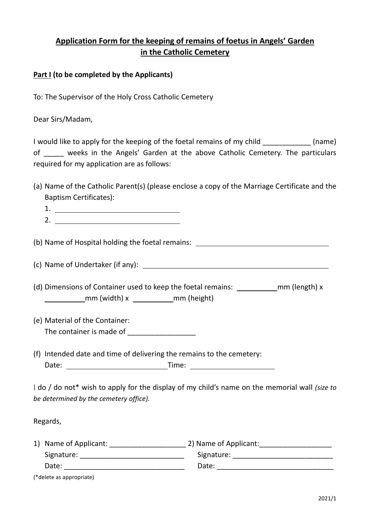# **Application Form for the keeping of remains of foetus in Angels' Garden in the Catholic Cemetery**

### **Part I (to be completed by the Applicants)**

To: The Supervisor of the Holy Cross Catholic Cemetery

Dear Sirs/Madam,

I would like to apply for the keeping of the foetal remains of my child \_\_\_\_\_\_\_\_\_\_\_\_ (name) of \_\_\_\_\_ weeks in the Angels' Garden at the above Catholic Cemetery. The particulars required for my application are as follows:

(a) Name of the Catholic Parent(s) (please enclose a copy of the Marriage Certificate and the Baptism Certificates):

(b) Name of Hospital holding the foetal remains:

(c) Name of Undertaker (if any):

(d) Dimensions of Container used to keep the foetal remains:  $\frac{1}{\sqrt{1-\frac{1}{n}}}$  mm (length) x  $\begin{array}{c} \boxed{\hspace{1cm}}$ mm (width) x  $\begin{array}{c} \boxed{\hspace{1cm}}$ mm (height)

- (e) Material of the Container: The container is made of
- (f) Intended date and time of delivering the remains to the cemetery: Date: Time:

I do / do not\* wish to apply for the display of my child's name on the memorial wall *(size to be determined by the cemetery office).*

Regards,

| 1) Name of Applicant: | 2) Name of Applicant: |
|-----------------------|-----------------------|
| Signature:            | Signature:            |
| Date:                 | Date:                 |

(\*delete as appropriate)